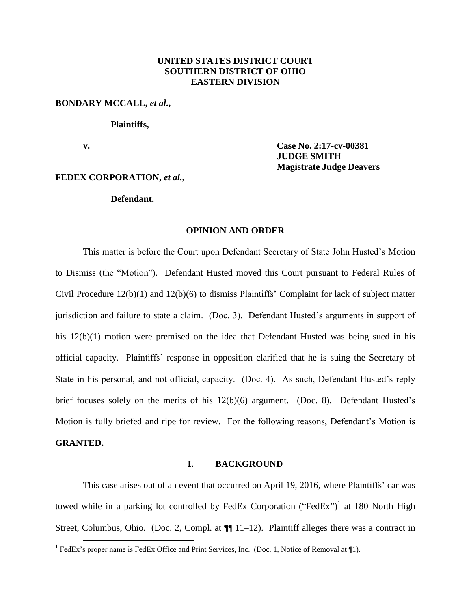# **UNITED STATES DISTRICT COURT SOUTHERN DISTRICT OF OHIO EASTERN DIVISION**

## **BONDARY MCCALL,** *et al***.,**

### **Plaintiffs,**

**v. Case No. 2:17-cv-00381 JUDGE SMITH Magistrate Judge Deavers**

# **FEDEX CORPORATION,** *et al.***,**

# **Defendant.**

#### **OPINION AND ORDER**

This matter is before the Court upon Defendant Secretary of State John Husted's Motion to Dismiss (the "Motion"). Defendant Husted moved this Court pursuant to Federal Rules of Civil Procedure 12(b)(1) and 12(b)(6) to dismiss Plaintiffs' Complaint for lack of subject matter jurisdiction and failure to state a claim. (Doc. 3). Defendant Husted's arguments in support of his 12(b)(1) motion were premised on the idea that Defendant Husted was being sued in his official capacity. Plaintiffs' response in opposition clarified that he is suing the Secretary of State in his personal, and not official, capacity. (Doc. 4). As such, Defendant Husted's reply brief focuses solely on the merits of his 12(b)(6) argument. (Doc. 8). Defendant Husted's Motion is fully briefed and ripe for review. For the following reasons, Defendant's Motion is **GRANTED.**

#### **I. BACKGROUND**

This case arises out of an event that occurred on April 19, 2016, where Plaintiffs' car was towed while in a parking lot controlled by FedEx Corporation ("FedEx")<sup>1</sup> at 180 North High Street, Columbus, Ohio. (Doc. 2, Compl. at  $\P$  11–12). Plaintiff alleges there was a contract in

<sup>&</sup>lt;sup>1</sup> FedEx's proper name is FedEx Office and Print Services, Inc. (Doc. 1, Notice of Removal at ¶1).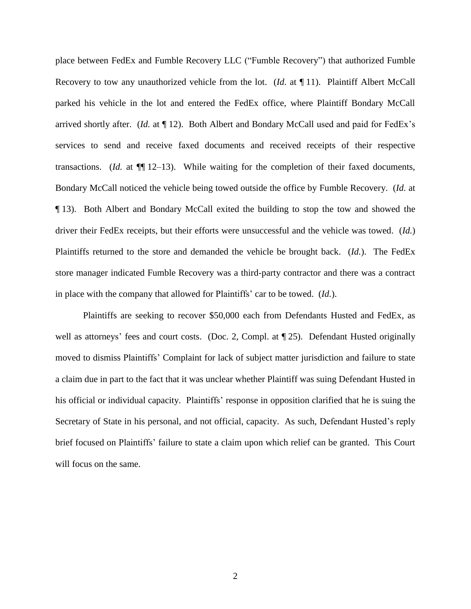place between FedEx and Fumble Recovery LLC ("Fumble Recovery") that authorized Fumble Recovery to tow any unauthorized vehicle from the lot. (*Id*. at ¶ 11). Plaintiff Albert McCall parked his vehicle in the lot and entered the FedEx office, where Plaintiff Bondary McCall arrived shortly after. (*Id.* at ¶ 12). Both Albert and Bondary McCall used and paid for FedEx's services to send and receive faxed documents and received receipts of their respective transactions. (*Id.* at ¶¶ 12–13). While waiting for the completion of their faxed documents, Bondary McCall noticed the vehicle being towed outside the office by Fumble Recovery. (*Id.* at ¶ 13). Both Albert and Bondary McCall exited the building to stop the tow and showed the driver their FedEx receipts, but their efforts were unsuccessful and the vehicle was towed. (*Id.*) Plaintiffs returned to the store and demanded the vehicle be brought back. (*Id.*). The FedEx store manager indicated Fumble Recovery was a third-party contractor and there was a contract in place with the company that allowed for Plaintiffs' car to be towed. (*Id.*).

Plaintiffs are seeking to recover \$50,000 each from Defendants Husted and FedEx, as well as attorneys' fees and court costs. (Doc. 2, Compl. at  $\P$  25). Defendant Husted originally moved to dismiss Plaintiffs' Complaint for lack of subject matter jurisdiction and failure to state a claim due in part to the fact that it was unclear whether Plaintiff was suing Defendant Husted in his official or individual capacity. Plaintiffs' response in opposition clarified that he is suing the Secretary of State in his personal, and not official, capacity. As such, Defendant Husted's reply brief focused on Plaintiffs' failure to state a claim upon which relief can be granted. This Court will focus on the same.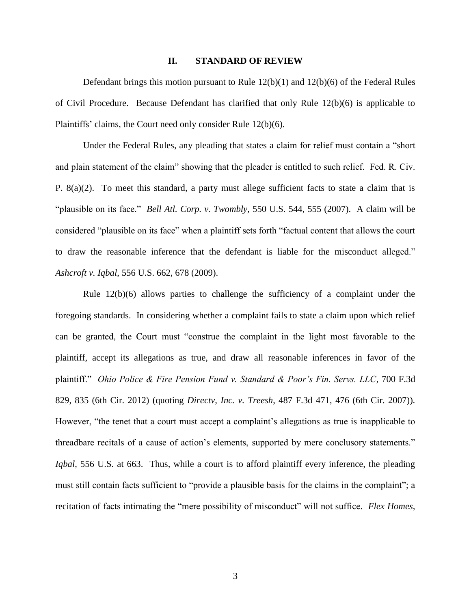## **II. STANDARD OF REVIEW**

Defendant brings this motion pursuant to Rule 12(b)(1) and 12(b)(6) of the Federal Rules of Civil Procedure. Because Defendant has clarified that only Rule 12(b)(6) is applicable to Plaintiffs' claims, the Court need only consider Rule 12(b)(6).

Under the Federal Rules, any pleading that states a claim for relief must contain a "short and plain statement of the claim" showing that the pleader is entitled to such relief. Fed. R. Civ. P. 8(a)(2). To meet this standard, a party must allege sufficient facts to state a claim that is "plausible on its face." *Bell Atl. Corp. v. Twombly,* 550 U.S. 544, 555 (2007). A claim will be considered "plausible on its face" when a plaintiff sets forth "factual content that allows the court to draw the reasonable inference that the defendant is liable for the misconduct alleged." *Ashcroft v. Iqbal*, 556 U.S. 662, 678 (2009).

Rule 12(b)(6) allows parties to challenge the sufficiency of a complaint under the foregoing standards. In considering whether a complaint fails to state a claim upon which relief can be granted, the Court must "construe the complaint in the light most favorable to the plaintiff, accept its allegations as true, and draw all reasonable inferences in favor of the plaintiff." *Ohio Police & Fire Pension Fund v. Standard & Poor's Fin. Servs. LLC*, 700 F.3d 829, 835 (6th Cir. 2012) (quoting *Directv, Inc. v. Treesh*, 487 F.3d 471, 476 (6th Cir. 2007)). However, "the tenet that a court must accept a complaint's allegations as true is inapplicable to threadbare recitals of a cause of action's elements, supported by mere conclusory statements." *Iqbal*, 556 U.S. at 663. Thus, while a court is to afford plaintiff every inference, the pleading must still contain facts sufficient to "provide a plausible basis for the claims in the complaint"; a recitation of facts intimating the "mere possibility of misconduct" will not suffice. *Flex Homes,*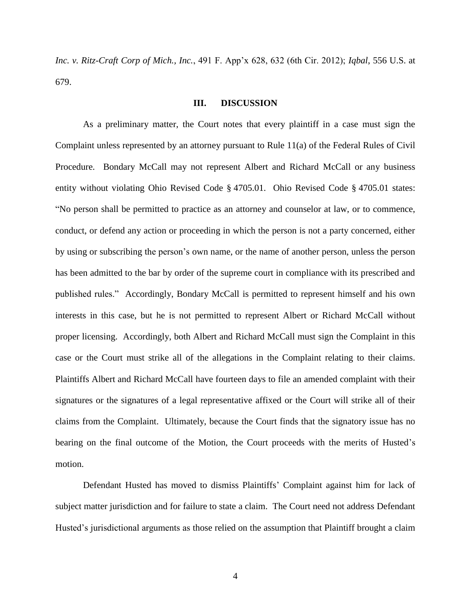*Inc. v. Ritz-Craft Corp of Mich., Inc.*, 491 F. App'x 628, 632 (6th Cir. 2012); *Iqbal*, 556 U.S. at 679.

# **III. DISCUSSION**

As a preliminary matter, the Court notes that every plaintiff in a case must sign the Complaint unless represented by an attorney pursuant to Rule 11(a) of the Federal Rules of Civil Procedure. Bondary McCall may not represent Albert and Richard McCall or any business entity without violating Ohio Revised Code § 4705.01. Ohio Revised Code § 4705.01 states: "No person shall be permitted to practice as an attorney and counselor at law, or to commence, conduct, or defend any action or proceeding in which the person is not a party concerned, either by using or subscribing the person's own name, or the name of another person, unless the person has been admitted to the bar by order of the supreme court in compliance with its prescribed and published rules." Accordingly, Bondary McCall is permitted to represent himself and his own interests in this case, but he is not permitted to represent Albert or Richard McCall without proper licensing. Accordingly, both Albert and Richard McCall must sign the Complaint in this case or the Court must strike all of the allegations in the Complaint relating to their claims. Plaintiffs Albert and Richard McCall have fourteen days to file an amended complaint with their signatures or the signatures of a legal representative affixed or the Court will strike all of their claims from the Complaint. Ultimately, because the Court finds that the signatory issue has no bearing on the final outcome of the Motion, the Court proceeds with the merits of Husted's motion.

Defendant Husted has moved to dismiss Plaintiffs' Complaint against him for lack of subject matter jurisdiction and for failure to state a claim. The Court need not address Defendant Husted's jurisdictional arguments as those relied on the assumption that Plaintiff brought a claim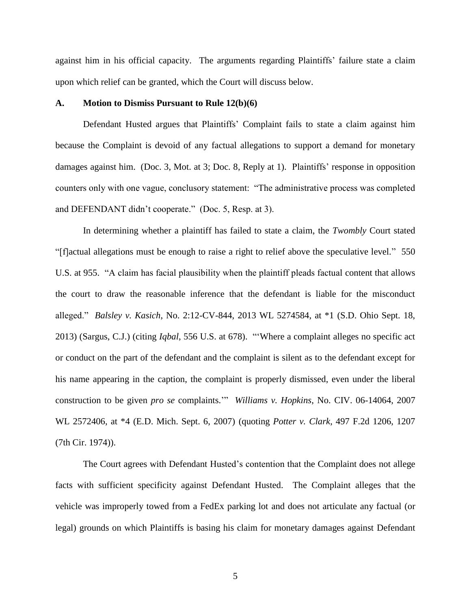against him in his official capacity. The arguments regarding Plaintiffs' failure state a claim upon which relief can be granted, which the Court will discuss below.

### **A. Motion to Dismiss Pursuant to Rule 12(b)(6)**

Defendant Husted argues that Plaintiffs' Complaint fails to state a claim against him because the Complaint is devoid of any factual allegations to support a demand for monetary damages against him. (Doc. 3, Mot. at 3; Doc. 8, Reply at 1). Plaintiffs' response in opposition counters only with one vague, conclusory statement: "The administrative process was completed and DEFENDANT didn't cooperate." (Doc. 5, Resp. at 3).

In determining whether a plaintiff has failed to state a claim, the *Twombly* Court stated "[f]actual allegations must be enough to raise a right to relief above the speculative level." 550 U.S. at 955. "A claim has facial plausibility when the plaintiff pleads factual content that allows the court to draw the reasonable inference that the defendant is liable for the misconduct alleged." *Balsley v. Kasich*, No. 2:12-CV-844, 2013 WL 5274584, at \*1 (S.D. Ohio Sept. 18, 2013) (Sargus, C.J.) (citing *Iqbal*, 556 U.S. at 678). "'Where a complaint alleges no specific act or conduct on the part of the defendant and the complaint is silent as to the defendant except for his name appearing in the caption, the complaint is properly dismissed, even under the liberal construction to be given *pro se* complaints.'" *Williams v. Hopkins*, No. CIV. 06-14064, 2007 WL 2572406, at \*4 (E.D. Mich. Sept. 6, 2007) (quoting *Potter v. Clark*, 497 F.2d 1206, 1207 (7th Cir. 1974)).

The Court agrees with Defendant Husted's contention that the Complaint does not allege facts with sufficient specificity against Defendant Husted. The Complaint alleges that the vehicle was improperly towed from a FedEx parking lot and does not articulate any factual (or legal) grounds on which Plaintiffs is basing his claim for monetary damages against Defendant